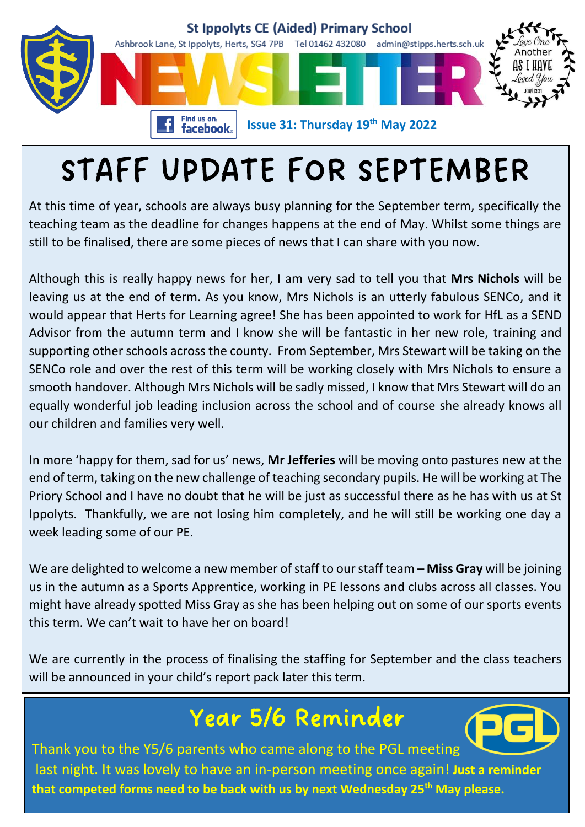

## STAFF UPDATE FOR SEPTEMBER

At this time of year, schools are always busy planning for the September term, specifically the teaching team as the deadline for changes happens at the end of May. Whilst some things are still to be finalised, there are some pieces of news that I can share with you now.

Although this is really happy news for her, I am very sad to tell you that **Mrs Nichols** will be leaving us at the end of term. As you know, Mrs Nichols is an utterly fabulous SENCo, and it would appear that Herts for Learning agree! She has been appointed to work for HfL as a SEND Advisor from the autumn term and I know she will be fantastic in her new role, training and supporting other schools across the county. From September, Mrs Stewart will be taking on the SENCo role and over the rest of this term will be working closely with Mrs Nichols to ensure a smooth handover. Although Mrs Nichols will be sadly missed, I know that Mrs Stewart will do an equally wonderful job leading inclusion across the school and of course she already knows all our children and families very well.

In more 'happy for them, sad for us' news, **Mr Jefferies** will be moving onto pastures new at the end of term, taking on the new challenge of teaching secondary pupils. He will be working at The Priory School and I have no doubt that he will be just as successful there as he has with us at St Ippolyts. Thankfully, we are not losing him completely, and he will still be working one day a week leading some of our PE.

We are delighted to welcome a new member of staff to our staff team – **Miss Gray** will be joining us in the autumn as a Sports Apprentice, working in PE lessons and clubs across all classes. You might have already spotted Miss Gray as she has been helping out on some of our sports events this term. We can't wait to have her on board!

We are currently in the process of finalising the staffing for September and the class teachers will be announced in your child's report pack later this term.

### Year 5/6 Reminder



Thank you to the Y5/6 parents who came along to the PGL meeting last night. It was lovely to have an in-person meeting once again! **Just a reminder that competed forms need to be back with us by next Wednesday 25th May please.**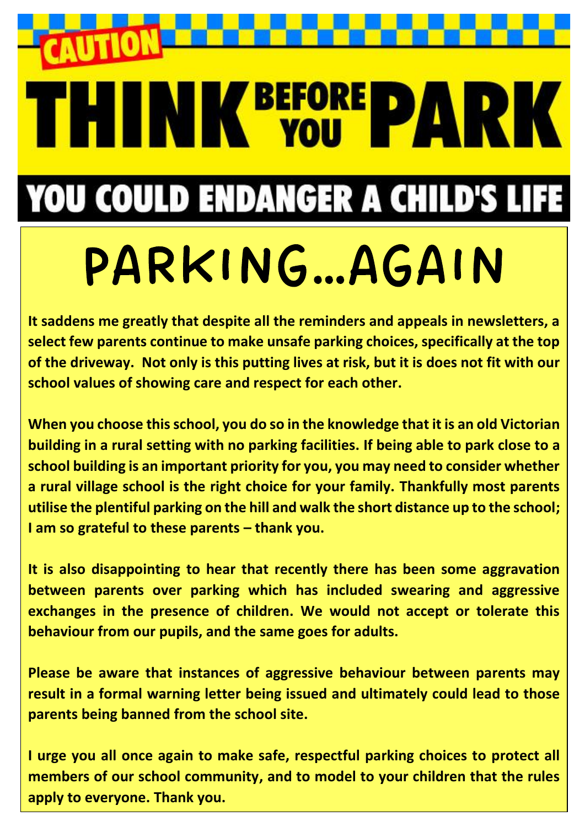**THINK BEFORE PARK YOU COULD ENDANGER A CHILD'S LIFE** 

# PARKING…AGAIN

**It saddens me greatly that despite all the reminders and appeals in newsletters, a select few parents continue to make unsafe parking choices, specifically at the top of the driveway. Not only is this putting lives at risk, but it is does not fit with our school values of showing care and respect for each other.** 

**When you choose this school, you do so in the knowledge that it is an old Victorian building in a rural setting with no parking facilities. If being able to park close to a school building is an important priority for you, you may need to consider whether a rural village school is the right choice for your family. Thankfully most parents utilise the plentiful parking on the hill and walk the short distance up to the school; I am so grateful to these parents – thank you.**

**It is also disappointing to hear that recently there has been some aggravation between parents over parking which has included swearing and aggressive exchanges in the presence of children. We would not accept or tolerate this behaviour from our pupils, and the same goes for adults.** 

**Please be aware that instances of aggressive behaviour between parents may result in a formal warning letter being issued and ultimately could lead to those parents being banned from the school site.** 

**I urge you all once again to make safe, respectful parking choices to protect all members of our school community, and to model to your children that the rules apply to everyone. Thank you.**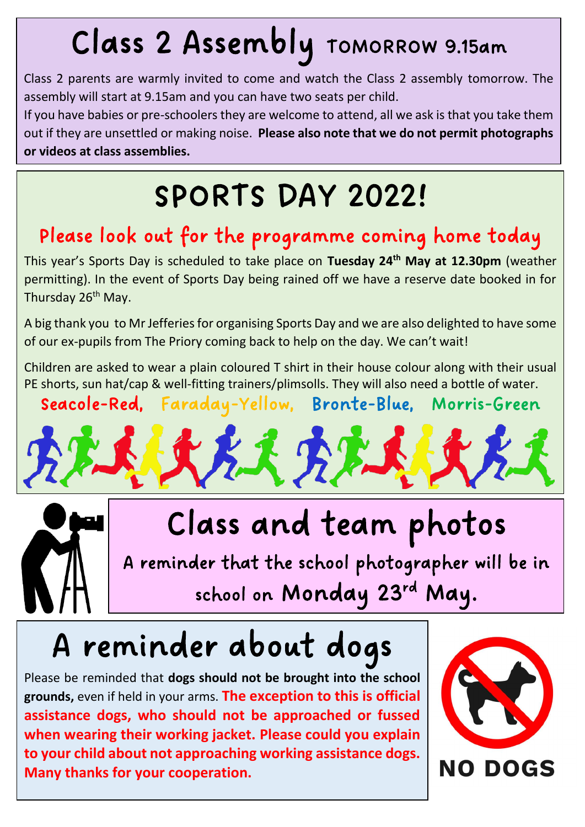## Class 2 Assembly TOMORROW 9.15am

Class 2 parents are warmly invited to come and watch the Class 2 assembly tomorrow. The assembly will start at 9.15am and you can have two seats per child.

If you have babies or pre-schoolers they are welcome to attend, all we ask is that you take them out if they are unsettled or making noise. **Please also note that we do not permit photographs or videos at class assemblies.**

## SPORTS DAY 2022!

### Please look out for the programme coming home today

This year's Sports Day is scheduled to take place on **Tuesday 24th May at 12.30pm** (weather permitting). In the event of Sports Day being rained off we have a reserve date booked in for Thursday 26<sup>th</sup> May.

A big thank you to Mr Jefferies for organising Sports Day and we are also delighted to have some of our ex-pupils from The Priory coming back to help on the day. We can't wait!

Children are asked to wear a plain coloured T shirt in their house colour along with their usual PE shorts, sun hat/cap & well-fitting trainers/plimsolls. They will also need a bottle of water.

Seacole-Red, Faraday-Yellow, Bronte-Blue, Morris-Green

 $k$   $\mathcal{H}'$ 

Class and team photos

A reminder that the school photographer will be in school on Monday 23rd May.

## A reminder about dogs

Please be reminded that **dogs should not be brought into the school grounds,** even if held in your arms. **The exception to this is official assistance dogs, who should not be approached or fussed when wearing their working jacket. Please could you explain to your child about not approaching working assistance dogs. Many thanks for your cooperation.**

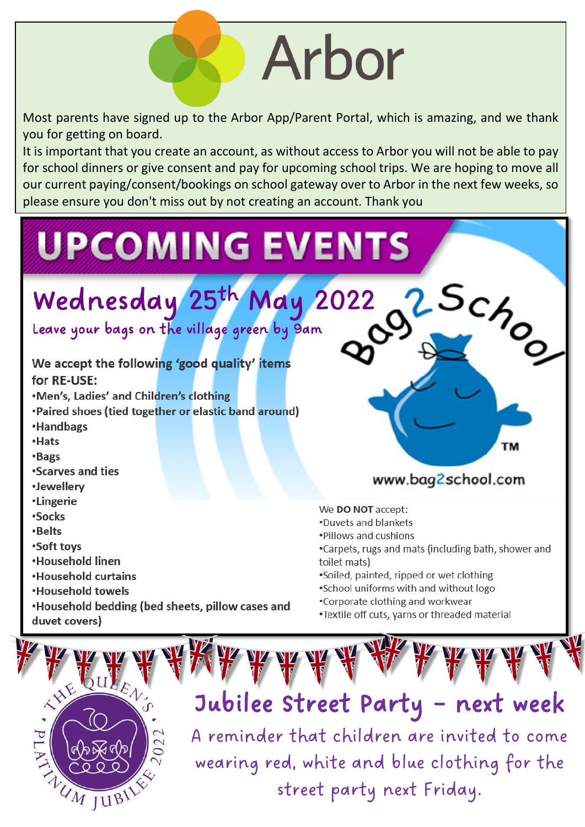# Arbor

Most parents have signed up to the Arbor App/Parent Portal, which is amazing, and we thank vou for getting on board.

It is important that you create an account, as without access to Arbor you will not be able to pay for school dinners or give consent and pay for upcoming school trips. We are hoping to move all our current paying/consent/bookings on school gateway over to Arbor in the next few weeks, so please ensure you don't miss out by not creating an account. Thank you

# **UPCOMING EVENTS** 2 Schor

## Wednesday 25th May 2022

Leave your bags on the village green by 9am

#### We accept the following 'good quality' items for RE-USE:

.Men's, Ladies' and Children's clothing

- •Paired shoes (tied together or elastic band around)
- **•Handbags**
- Hats
- •Bags
- •Scarves and ties
- ·Jewellery
- *•Lingerie*
- *•Socks*
- •Belts
- •Soft toys
- •Household linen
- **.** Household curtains
- •Household towels
- •Household bedding (bed sheets, pillow cases and duvet covers)

#### www.bag2school.com

#### We DO NOT accept:

- .Duvets and blankets
- . Pillows and cushions
- .Carpets, rugs and mats (including bath, shower and toilet mats)
- \*Soiled, painted, ripped or wet clothing
- .School uniforms with and without logo
- •Corporate clothing and workwear
- •Textile off cuts, yarns or threaded material



## Jubilee Street Party - next week A reminder that children are invited to come

wearing red, white and blue clothing for the street party next Friday.